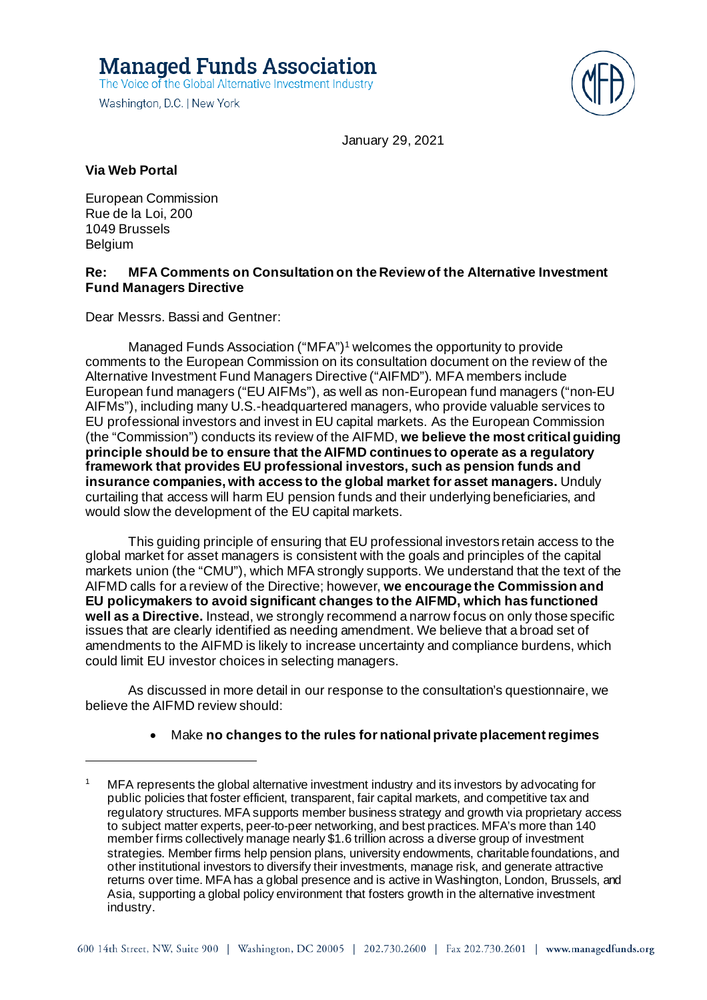**Managed Funds Association** The Voice of the Global Alternative Investment Industry

Washington, D.C. | New York



January 29, 2021

### **Via Web Portal**

European Commission Rue de la Loi, 200 1049 Brussels Belgium

#### **Re: MFA Comments on Consultation on the Review of the Alternative Investment Fund Managers Directive**

Dear Messrs. Bassi and Gentner:

Managed Funds Association ("MFA"[\)1](#page-0-0) welcomes the opportunity to provide comments to the European Commission on its consultation document on the review of the Alternative Investment Fund Managers Directive ("AIFMD"). MFA members include European fund managers ("EU AIFMs"), as well as non-European fund managers ("non-EU AIFMs"), including many U.S.-headquartered managers, who provide valuable services to EU professional investors and invest in EU capital markets. As the European Commission (the "Commission") conducts its review of the AIFMD, **we believe the most critical guiding principle should be to ensure that the AIFMD continues to operate as a regulatory framework that provides EU professional investors, such as pension funds and insurance companies,with access to the global market for asset managers.** Unduly curtailing that access will harm EU pension funds and their underlying beneficiaries, and would slow the development of the EU capital markets.

This guiding principle of ensuring that EU professional investors retain access to the global market for asset managers is consistent with the goals and principles of the capital markets union (the "CMU"), which MFA strongly supports. We understand that the text of the AIFMD calls for a review of the Directive; however, **we encourage the Commission and EU policymakers to avoid significant changes to the AIFMD, which has functioned well as a Directive.** Instead, we strongly recommend a narrow focus on only those specific issues that are clearly identified as needing amendment. We believe that a broad set of amendments to the AIFMD is likely to increase uncertainty and compliance burdens, which could limit EU investor choices in selecting managers.

As discussed in more detail in our response to the consultation's questionnaire, we believe the AIFMD review should:

### • Make **no changes to the rules for national private placement regimes**

<span id="page-0-0"></span>MFA represents the global alternative investment industry and its investors by advocating for public policies that foster efficient, transparent, fair capital markets, and competitive tax and regulatory structures. MFA supports member business strategy and growth via proprietary access to subject matter experts, peer-to-peer networking, and best practices. MFA's more than 140 member firms collectively manage nearly \$1.6 trillion across a diverse group of investment strategies. Member firms help pension plans, university endowments, charitable foundations, and other institutional investors to diversify their investments, manage risk, and generate attractive returns over time. MFA has a global presence and is active in Washington, London, Brussels, and Asia, supporting a global policy environment that fosters growth in the alternative investment industry.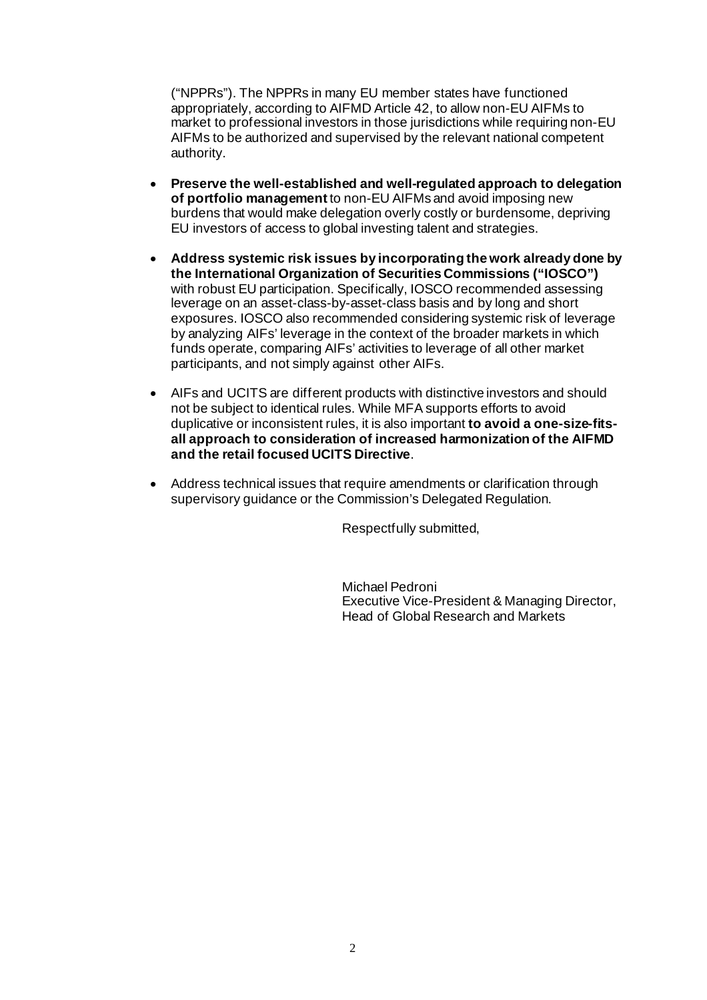("NPPRs"). The NPPRs in many EU member states have functioned appropriately, according to AIFMD Article 42, to allow non-EU AIFMs to market to professional investors in those jurisdictions while requiring non-EU AIFMs to be authorized and supervised by the relevant national competent authority.

- **Preserve the well-established and well-regulated approach to delegation of portfolio management**to non-EU AIFMs and avoid imposing new burdens that would make delegation overly costly or burdensome, depriving EU investors of access to global investing talent and strategies.
- **Address systemic risk issues by incorporating the work already done by the International Organization of Securities Commissions ("IOSCO")** with robust EU participation. Specifically, IOSCO recommended assessing leverage on an asset-class-by-asset-class basis and by long and short exposures. IOSCO also recommended considering systemic risk of leverage by analyzing AIFs' leverage in the context of the broader markets in which funds operate, comparing AIFs' activities to leverage of all other market participants, and not simply against other AIFs.
- AIFs and UCITS are different products with distinctive investors and should not be subject to identical rules. While MFA supports efforts to avoid duplicative or inconsistent rules, it is also important **to avoid a one-size-fitsall approach to consideration of increased harmonization of the AIFMD and the retail focused UCITS Directive**.
- Address technical issues that require amendments or clarification through supervisory guidance or the Commission's Delegated Regulation.

Respectfully submitted,

Michael Pedroni Executive Vice-President & Managing Director, Head of Global Research and Markets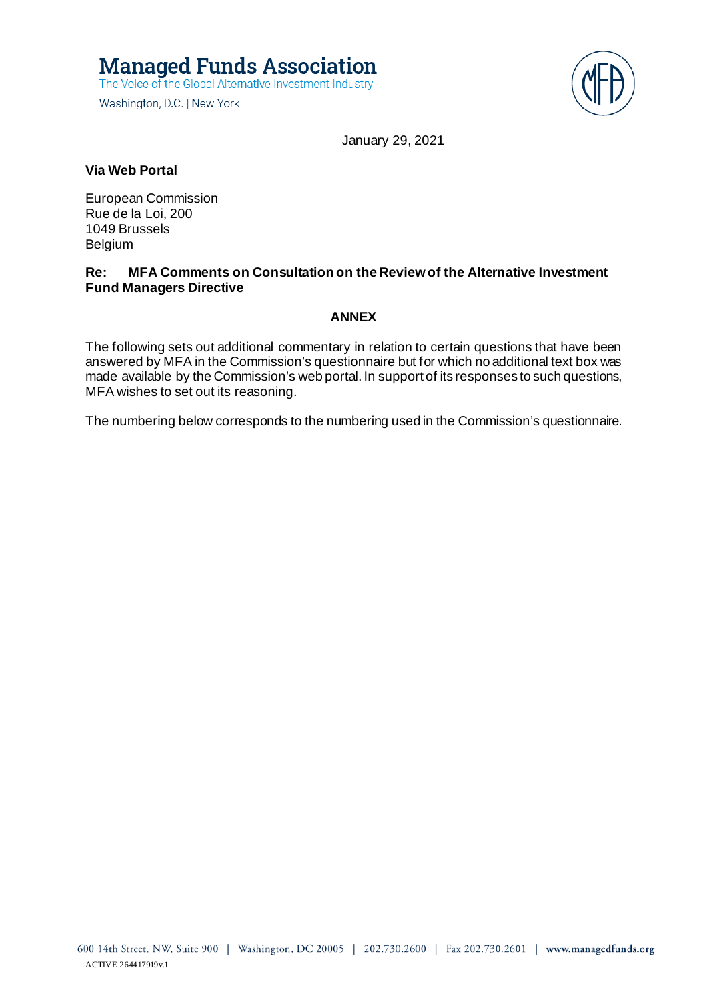**Managed Funds Association** The Voice of the Global Alternative Investment Industry

Washington, D.C. | New York



January 29, 2021

#### **Via Web Portal**

European Commission Rue de la Loi, 200 1049 Brussels Belgium

#### **Re: MFA Comments on Consultation on the Review of the Alternative Investment Fund Managers Directive**

#### **ANNEX**

The following sets out additional commentary in relation to certain questions that have been answered by MFA in the Commission's questionnaire but for which no additional text box was made available by the Commission's web portal. In support of its responses to such questions, MFA wishes to set out its reasoning.

The numbering below corresponds to the numbering used in the Commission's questionnaire.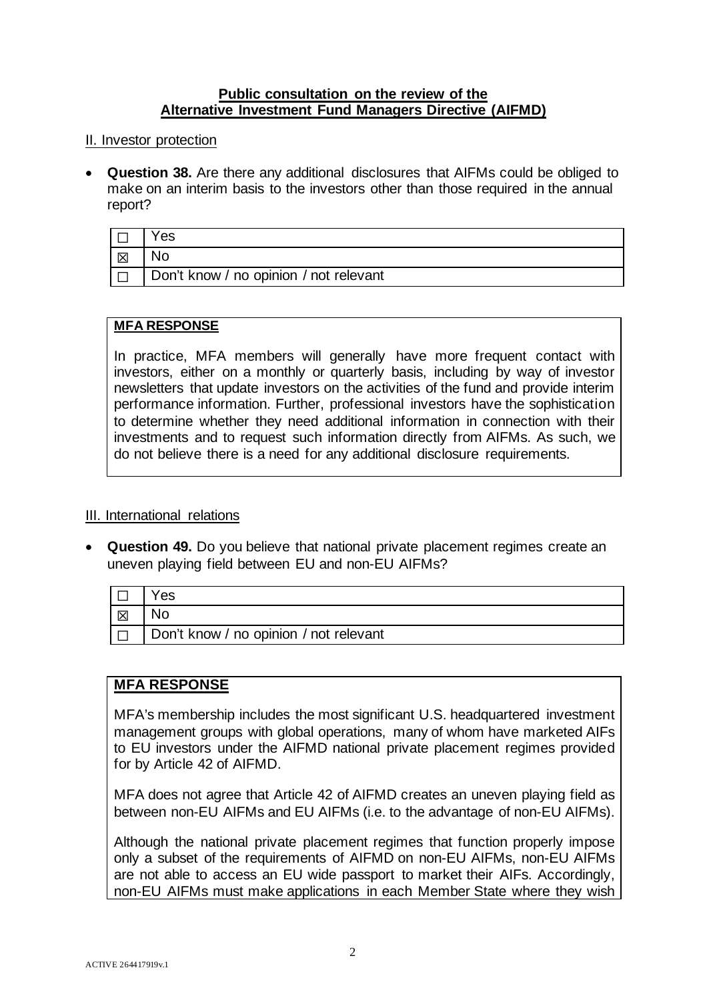### **Public consultation on the review of the Alternative Investment Fund Managers Directive (AIFMD)**

### II. Investor protection

• **Question 38.** Are there any additional disclosures that AIFMs could be obliged to make on an interim basis to the investors other than those required in the annual report?

|   | 'es                                    |
|---|----------------------------------------|
| 区 | No.                                    |
|   | Don't know / no opinion / not relevant |

### **MFA RESPONSE**

In practice, MFA members will generally have more frequent contact with investors, either on a monthly or quarterly basis, including by way of investor newsletters that update investors on the activities of the fund and provide interim performance information. Further, professional investors have the sophistication to determine whether they need additional information in connection with their investments and to request such information directly from AIFMs. As such, we do not believe there is a need for any additional disclosure requirements.

### III. International relations

• **Question 49.** Do you believe that national private placement regimes create an uneven playing field between EU and non-EU AIFMs?

|        | 'es                                    |
|--------|----------------------------------------|
| 区      |                                        |
| $\Box$ | Don't know / no opinion / not relevant |

# **MFA RESPONSE**

MFA's membership includes the most significant U.S. headquartered investment management groups with global operations, many of whom have marketed AIFs to EU investors under the AIFMD national private placement regimes provided for by Article 42 of AIFMD.

MFA does not agree that Article 42 of AIFMD creates an uneven playing field as between non-EU AIFMs and EU AIFMs (i.e. to the advantage of non-EU AIFMs).

Although the national private placement regimes that function properly impose only a subset of the requirements of AIFMD on non-EU AIFMs, non-EU AIFMs are not able to access an EU wide passport to market their AIFs. Accordingly, non-EU AIFMs must make applications in each Member State where they wish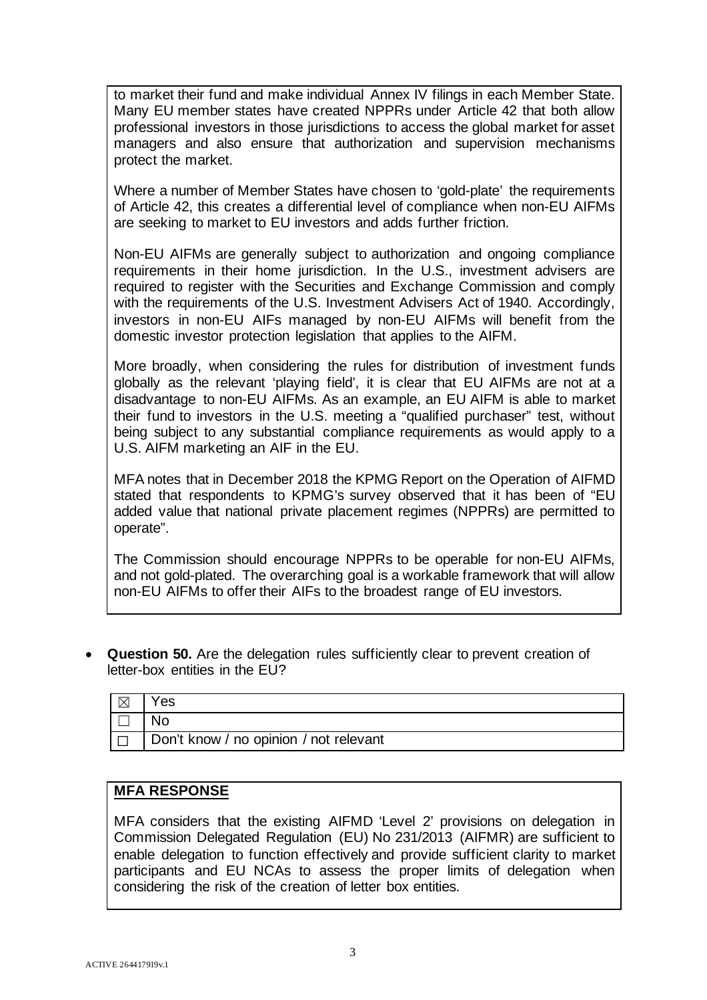to market their fund and make individual Annex IV filings in each Member State. Many EU member states have created NPPRs under Article 42 that both allow professional investors in those jurisdictions to access the global market for asset managers and also ensure that authorization and supervision mechanisms protect the market.

Where a number of Member States have chosen to 'gold-plate' the requirements of Article 42, this creates a differential level of compliance when non-EU AIFMs are seeking to market to EU investors and adds further friction.

Non-EU AIFMs are generally subject to authorization and ongoing compliance requirements in their home jurisdiction. In the U.S., investment advisers are required to register with the Securities and Exchange Commission and comply with the requirements of the U.S. Investment Advisers Act of 1940. Accordingly, investors in non-EU AIFs managed by non-EU AIFMs will benefit from the domestic investor protection legislation that applies to the AIFM.

More broadly, when considering the rules for distribution of investment funds globally as the relevant 'playing field', it is clear that EU AIFMs are not at a disadvantage to non-EU AIFMs. As an example, an EU AIFM is able to market their fund to investors in the U.S. meeting a "qualified purchaser" test, without being subject to any substantial compliance requirements as would apply to a U.S. AIFM marketing an AIF in the EU.

MFA notes that in December 2018 the KPMG Report on the Operation of AIFMD stated that respondents to KPMG's survey observed that it has been of "EU added value that national private placement regimes (NPPRs) are permitted to operate".

The Commission should encourage NPPRs to be operable for non-EU AIFMs, and not gold-plated. The overarching goal is a workable framework that will allow non-EU AIFMs to offer their AIFs to the broadest range of EU investors.

• **Question 50.** Are the delegation rules sufficiently clear to prevent creation of letter-box entities in the EU?

| $\boxtimes$ | 'es                                    |
|-------------|----------------------------------------|
|             |                                        |
| $\Box$      | Don't know / no opinion / not relevant |

# **MFA RESPONSE**

MFA considers that the existing AIFMD 'Level 2' provisions on delegation in Commission Delegated Regulation (EU) No 231/2013 (AIFMR) are sufficient to enable delegation to function effectively and provide sufficient clarity to market participants and EU NCAs to assess the proper limits of delegation when considering the risk of the creation of letter box entities.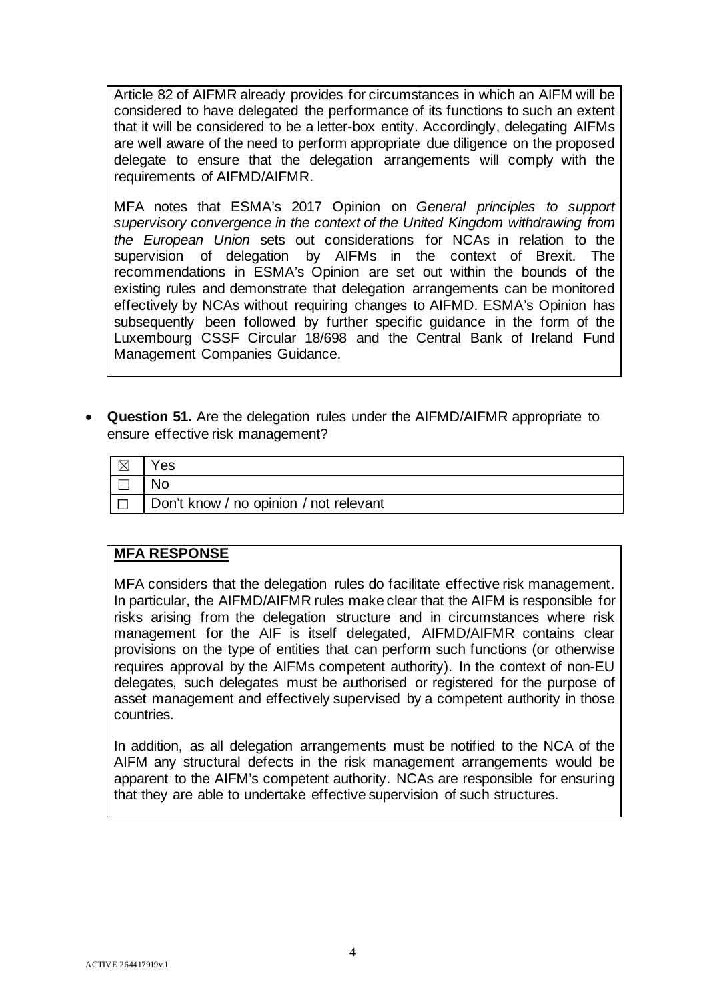Article 82 of AIFMR already provides for circumstances in which an AIFM will be considered to have delegated the performance of its functions to such an extent that it will be considered to be a letter-box entity. Accordingly, delegating AIFMs are well aware of the need to perform appropriate due diligence on the proposed delegate to ensure that the delegation arrangements will comply with the requirements of AIFMD/AIFMR.

MFA notes that ESMA's 2017 Opinion on *General principles to support supervisory convergence in the context of the United Kingdom withdrawing from the European Union* sets out considerations for NCAs in relation to the supervision of delegation by AIFMs in the context of Brexit. The recommendations in ESMA's Opinion are set out within the bounds of the existing rules and demonstrate that delegation arrangements can be monitored effectively by NCAs without requiring changes to AIFMD. ESMA's Opinion has subsequently been followed by further specific guidance in the form of the Luxembourg CSSF Circular 18/698 and the Central Bank of Ireland Fund Management Companies Guidance.

• **Question 51.** Are the delegation rules under the AIFMD/AIFMR appropriate to ensure effective risk management?

| l M | 'es                                    |
|-----|----------------------------------------|
|     |                                        |
|     | Don't know / no opinion / not relevant |

# **MFA RESPONSE**

MFA considers that the delegation rules do facilitate effective risk management. In particular, the AIFMD/AIFMR rules make clear that the AIFM is responsible for risks arising from the delegation structure and in circumstances where risk management for the AIF is itself delegated, AIFMD/AIFMR contains clear provisions on the type of entities that can perform such functions (or otherwise requires approval by the AIFMs competent authority). In the context of non-EU delegates, such delegates must be authorised or registered for the purpose of asset management and effectively supervised by a competent authority in those countries.

In addition, as all delegation arrangements must be notified to the NCA of the AIFM any structural defects in the risk management arrangements would be apparent to the AIFM's competent authority. NCAs are responsible for ensuring that they are able to undertake effective supervision of such structures.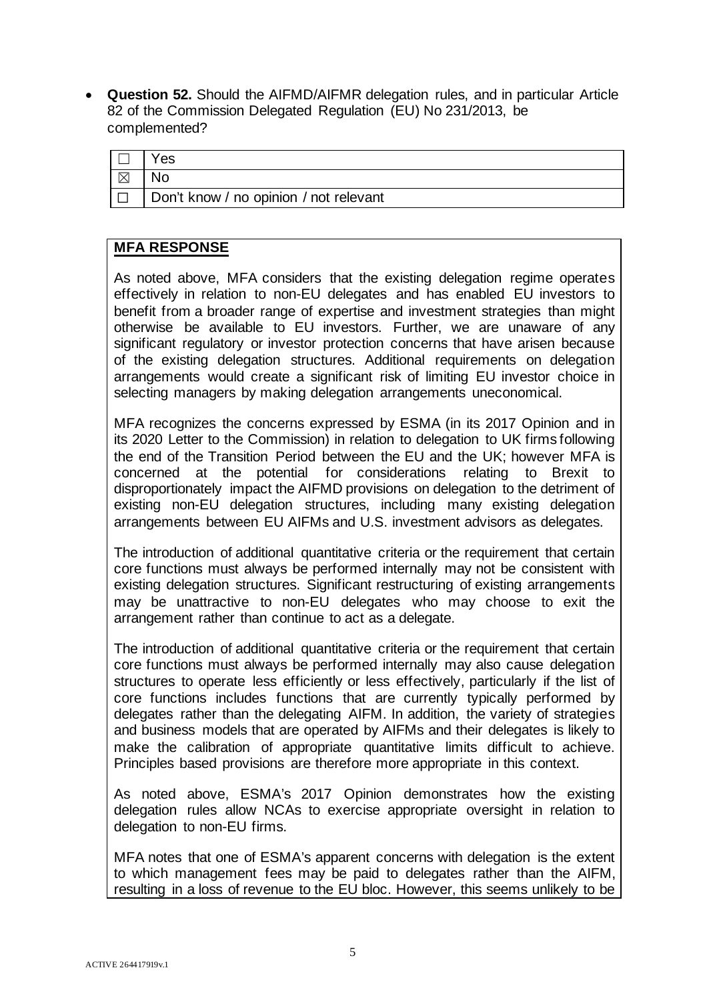• **Question 52.** Should the AIFMD/AIFMR delegation rules, and in particular Article 82 of the Commission Delegated Regulation (EU) No 231/2013, be complemented?

|             | es'                                    |
|-------------|----------------------------------------|
| $\boxtimes$ |                                        |
|             | Don't know / no opinion / not relevant |

# **MFA RESPONSE**

As noted above, MFA considers that the existing delegation regime operates effectively in relation to non-EU delegates and has enabled EU investors to benefit from a broader range of expertise and investment strategies than might otherwise be available to EU investors. Further, we are unaware of any significant regulatory or investor protection concerns that have arisen because of the existing delegation structures. Additional requirements on delegation arrangements would create a significant risk of limiting EU investor choice in selecting managers by making delegation arrangements uneconomical.

MFA recognizes the concerns expressed by ESMA (in its 2017 Opinion and in its 2020 Letter to the Commission) in relation to delegation to UK firms following the end of the Transition Period between the EU and the UK; however MFA is concerned at the potential for considerations relating to Brexit to disproportionately impact the AIFMD provisions on delegation to the detriment of existing non-EU delegation structures, including many existing delegation arrangements between EU AIFMs and U.S. investment advisors as delegates.

The introduction of additional quantitative criteria or the requirement that certain core functions must always be performed internally may not be consistent with existing delegation structures. Significant restructuring of existing arrangements may be unattractive to non-EU delegates who may choose to exit the arrangement rather than continue to act as a delegate.

The introduction of additional quantitative criteria or the requirement that certain core functions must always be performed internally may also cause delegation structures to operate less efficiently or less effectively, particularly if the list of core functions includes functions that are currently typically performed by delegates rather than the delegating AIFM. In addition, the variety of strategies and business models that are operated by AIFMs and their delegates is likely to make the calibration of appropriate quantitative limits difficult to achieve. Principles based provisions are therefore more appropriate in this context.

As noted above, ESMA's 2017 Opinion demonstrates how the existing delegation rules allow NCAs to exercise appropriate oversight in relation to delegation to non-EU firms.

MFA notes that one of ESMA's apparent concerns with delegation is the extent to which management fees may be paid to delegates rather than the AIFM, resulting in a loss of revenue to the EU bloc. However, this seems unlikely to be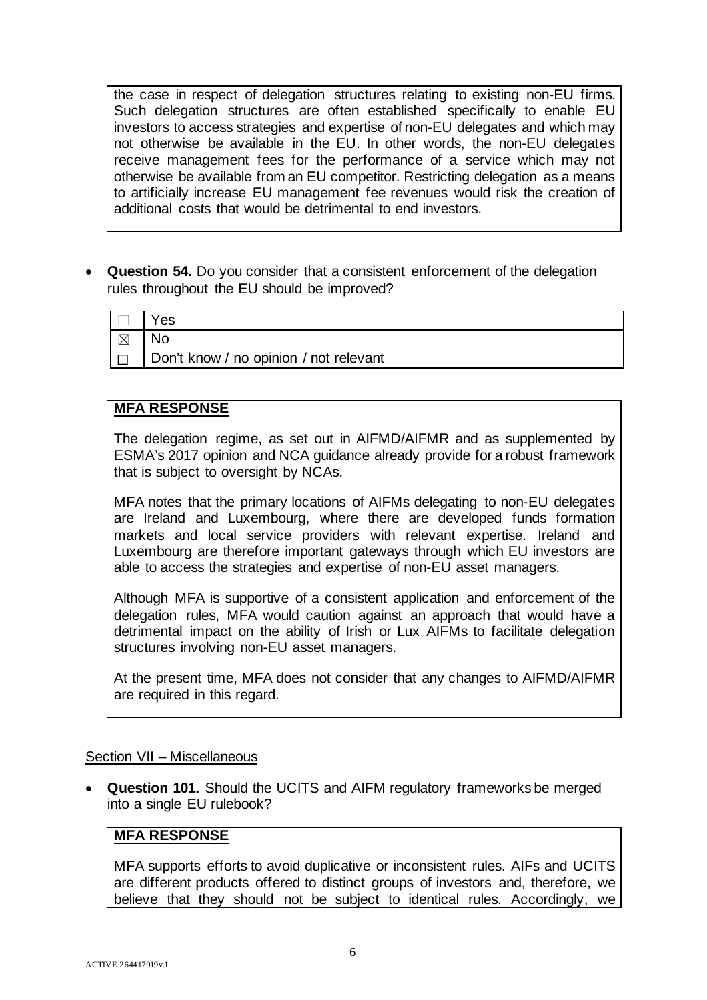the case in respect of delegation structures relating to existing non-EU firms. Such delegation structures are often established specifically to enable EU investors to access strategies and expertise of non-EU delegates and which may not otherwise be available in the EU. In other words, the non-EU delegates receive management fees for the performance of a service which may not otherwise be available from an EU competitor. Restricting delegation as a means to artificially increase EU management fee revenues would risk the creation of additional costs that would be detrimental to end investors.

• **Question 54.** Do you consider that a consistent enforcement of the delegation rules throughout the EU should be improved?

|             | Yes                                    |
|-------------|----------------------------------------|
| $\boxtimes$ |                                        |
|             | Don't know / no opinion / not relevant |

# **MFA RESPONSE**

The delegation regime, as set out in AIFMD/AIFMR and as supplemented by ESMA's 2017 opinion and NCA guidance already provide for a robust framework that is subject to oversight by NCAs.

MFA notes that the primary locations of AIFMs delegating to non-EU delegates are Ireland and Luxembourg, where there are developed funds formation markets and local service providers with relevant expertise. Ireland and Luxembourg are therefore important gateways through which EU investors are able to access the strategies and expertise of non-EU asset managers.

Although MFA is supportive of a consistent application and enforcement of the delegation rules, MFA would caution against an approach that would have a detrimental impact on the ability of Irish or Lux AIFMs to facilitate delegation structures involving non-EU asset managers.

At the present time, MFA does not consider that any changes to AIFMD/AIFMR are required in this regard.

# Section VII – Miscellaneous

• **Question 101.** Should the UCITS and AIFM regulatory frameworks be merged into a single EU rulebook?

# **MFA RESPONSE**

MFA supports efforts to avoid duplicative or inconsistent rules. AIFs and UCITS are different products offered to distinct groups of investors and, therefore, we believe that they should not be subject to identical rules. Accordingly, we